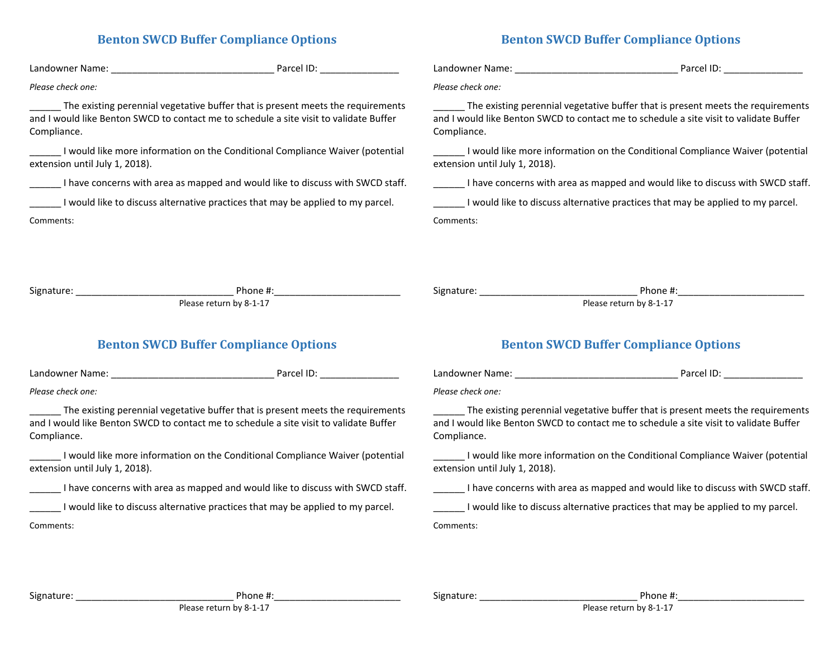## **Benton SWCD Buffer Compliance Options**

## **Benton SWCD Buffer Compliance Options**

|                                                                                                                 | Parcel ID: The contract of the contract of the contract of the contract of the contract of the contract of the                                                            |                                                                                                                                                                                          | Parcel ID: The contract of the contract of the contract of the contract of the contract of the contract of the |  |
|-----------------------------------------------------------------------------------------------------------------|---------------------------------------------------------------------------------------------------------------------------------------------------------------------------|------------------------------------------------------------------------------------------------------------------------------------------------------------------------------------------|----------------------------------------------------------------------------------------------------------------|--|
| Please check one:                                                                                               |                                                                                                                                                                           | Please check one:                                                                                                                                                                        |                                                                                                                |  |
| Compliance.                                                                                                     | The existing perennial vegetative buffer that is present meets the requirements<br>and I would like Benton SWCD to contact me to schedule a site visit to validate Buffer | The existing perennial vegetative buffer that is present meets the requirements<br>and I would like Benton SWCD to contact me to schedule a site visit to validate Buffer<br>Compliance. |                                                                                                                |  |
| I would like more information on the Conditional Compliance Waiver (potential<br>extension until July 1, 2018). |                                                                                                                                                                           | I would like more information on the Conditional Compliance Waiver (potential<br>extension until July 1, 2018).                                                                          |                                                                                                                |  |
|                                                                                                                 | I have concerns with area as mapped and would like to discuss with SWCD staff.                                                                                            | _______ I have concerns with area as mapped and would like to discuss with SWCD staff.                                                                                                   |                                                                                                                |  |
| I would like to discuss alternative practices that may be applied to my parcel.                                 |                                                                                                                                                                           | I would like to discuss alternative practices that may be applied to my parcel.                                                                                                          |                                                                                                                |  |
| Comments:                                                                                                       |                                                                                                                                                                           | Comments:                                                                                                                                                                                |                                                                                                                |  |
|                                                                                                                 | Please return by 8-1-17                                                                                                                                                   |                                                                                                                                                                                          | Please return by 8-1-17                                                                                        |  |
| <b>Benton SWCD Buffer Compliance Options</b>                                                                    |                                                                                                                                                                           | <b>Benton SWCD Buffer Compliance Options</b>                                                                                                                                             |                                                                                                                |  |
| Landowner Name:                                                                                                 | Parcel ID:                                                                                                                                                                | Landowner Name:                                                                                                                                                                          | Parcel ID:                                                                                                     |  |

*Please check one:*

The existing perennial vegetative buffer that is present meets the requirements and I would like Benton SWCD to contact me to schedule a site visit to validate Buffer Compliance.

I would like more information on the Conditional Compliance Waiver (potential extension until July 1, 2018).

\_\_\_\_\_\_ I have concerns with area as mapped and would like to discuss with SWCD staff.

\_\_\_\_\_\_ I would like to discuss alternative practices that may be applied to my parcel.

Comments:

| ndowner Name: | Parcel ID: |  |
|---------------|------------|--|
|               |            |  |

*Please check one:*

The existing perennial vegetative buffer that is present meets the requirements and I would like Benton SWCD to contact me to schedule a site visit to validate Buffer Compliance.

I would like more information on the Conditional Compliance Waiver (potential extension until July 1, 2018).

\_\_\_\_\_\_ I have concerns with area as mapped and would like to discuss with SWCD staff.

\_\_\_\_\_\_ I would like to discuss alternative practices that may be applied to my parcel.

Comments:

Signature: The contract of the set of the set of the Phone #: Please return by 8-1-17

Signature: \_\_\_\_\_\_\_\_\_\_\_\_\_\_\_\_\_\_\_\_\_\_\_\_\_\_\_\_\_\_ Phone #:\_\_\_\_\_\_\_\_\_\_\_\_\_\_\_\_\_\_\_\_\_\_\_\_